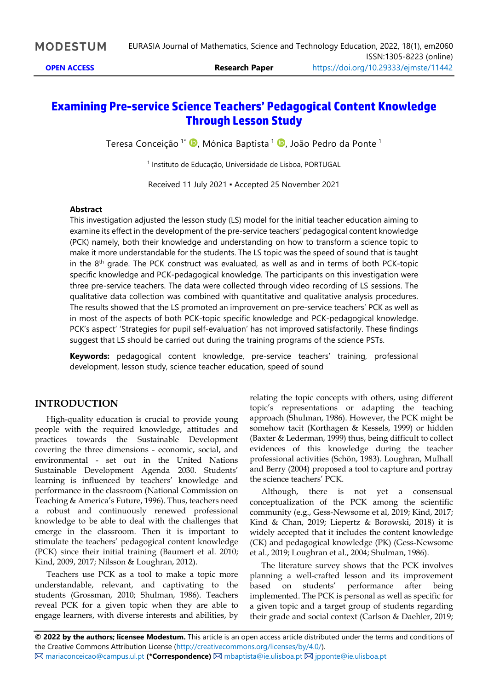# **Examining Pre-service Science Teachers' Pedagogical Content Knowledge Through Lesson Study**

Teresa Conceição 1\* , Mónica Baptista <sup>1</sup> , João Pedro da Ponte <sup>1</sup>

1 Instituto de Educação, Universidade de Lisboa, PORTUGAL

Received 11 July 2021 ▪ Accepted 25 November 2021

### **Abstract**

This investigation adjusted the lesson study (LS) model for the initial teacher education aiming to examine its effect in the development of the pre-service teachers' pedagogical content knowledge (PCK) namely, both their knowledge and understanding on how to transform a science topic to make it more understandable for the students. The LS topic was the speed of sound that is taught in the  $8<sup>th</sup>$  grade. The PCK construct was evaluated, as well as and in terms of both PCK-topic specific knowledge and PCK-pedagogical knowledge. The participants on this investigation were three pre-service teachers. The data were collected through video recording of LS sessions. The qualitative data collection was combined with quantitative and qualitative analysis procedures. The results showed that the LS promoted an improvement on pre-service teachers' PCK as well as in most of the aspects of both PCK-topic specific knowledge and PCK-pedagogical knowledge. PCK's aspect' 'Strategies for pupil self-evaluation' has not improved satisfactorily. These findings suggest that LS should be carried out during the training programs of the science PSTs.

**Keywords:** pedagogical content knowledge, pre-service teachers' training, professional development, lesson study, science teacher education, speed of sound

## **INTRODUCTION**

High-quality education is crucial to provide young people with the required knowledge, attitudes and practices towards the Sustainable Development covering the three dimensions - economic, social, and environmental - set out in the United Nations Sustainable Development Agenda 2030. Students' learning is influenced by teachers' knowledge and performance in the classroom (National Commission on Teaching & America's Future, 1996). Thus, teachers need a robust and continuously renewed professional knowledge to be able to deal with the challenges that emerge in the classroom. Then it is important to stimulate the teachers' pedagogical content knowledge (PCK) since their initial training (Baumert et al. 2010; Kind, 2009, 2017; Nilsson & Loughran, 2012).

Teachers use PCK as a tool to make a topic more understandable, relevant, and captivating to the students (Grossman, 2010; Shulman, 1986). Teachers reveal PCK for a given topic when they are able to engage learners, with diverse interests and abilities, by relating the topic concepts with others, using different topic's representations or adapting the teaching approach (Shulman, 1986). However, the PCK might be somehow tacit (Korthagen & Kessels, 1999) or hidden (Baxter & Lederman, 1999) thus, being difficult to collect evidences of this knowledge during the teacher professional activities (Schön, 1983). Loughran, Mulhall and Berry (2004) proposed a tool to capture and portray the science teachers' PCK.

Although, there is not yet a consensual conceptualization of the PCK among the scientific community (e.g., Gess-Newsome et al, 2019; Kind, 2017; Kind & Chan, 2019; Liepertz & Borowski, 2018) it is widely accepted that it includes the content knowledge (CK) and pedagogical knowledge (PK) (Gess-Newsome et al., 2019; Loughran et al., 2004; Shulman, 1986).

The literature survey shows that the PCK involves planning a well-crafted lesson and its improvement based on students' performance after being implemented. The PCK is personal as well as specific for a given topic and a target group of students regarding their grade and social context (Carlson & Daehler, 2019;

**© 2022 by the authors; licensee Modestum.** This article is an open access article distributed under the terms and conditions of the Creative Commons Attribution License [\(http://creativecommons.org/licenses/by/4.0/\)](http://creativecommons.org/licenses/by/4.0/). [mariaconceicao@campus.ul.pt](mailto:mariaconceicao@campus.ul.pt) **(\*Correspondence)** [mbaptista@ie.ulisboa.pt](mailto:mbaptista@ie.ulisboa.pt) [jpponte@ie.ulisboa.pt](mailto:jpponte@ie.ulisboa.pt)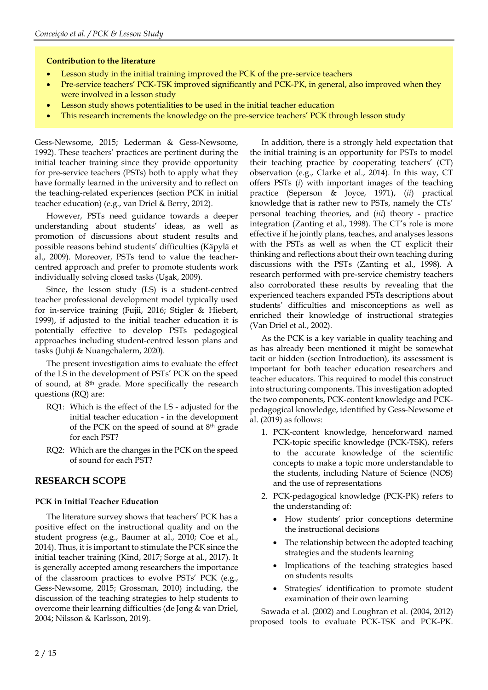#### **Contribution to the literature**

- Lesson study in the initial training improved the PCK of the pre-service teachers
- Pre-service teachers' PCK-TSK improved significantly and PCK-PK, in general, also improved when they were involved in a lesson study
- Lesson study shows potentialities to be used in the initial teacher education
- This research increments the knowledge on the pre-service teachers' PCK through lesson study

Gess-Newsome, 2015; Lederman & Gess-Newsome, 1992). These teachers' practices are pertinent during the initial teacher training since they provide opportunity for pre-service teachers (PSTs) both to apply what they have formally learned in the university and to reflect on the teaching-related experiences (section PCK in initial teacher education) (e.g., van Driel & Berry, 2012).

However, PSTs need guidance towards a deeper understanding about students' ideas, as well as promotion of discussions about student results and possible reasons behind students' difficulties (Käpylä et al., 2009). Moreover, PSTs tend to value the teachercentred approach and prefer to promote students work individually solving closed tasks (Uşak, 2009).

Since, the lesson study (LS) is a student-centred teacher professional development model typically used for in-service training (Fujii, 2016; Stigler & Hiebert, 1999), if adjusted to the initial teacher education it is potentially effective to develop PSTs pedagogical approaches including student-centred lesson plans and tasks (Juhji & Nuangchalerm, 2020).

The present investigation aims to evaluate the effect of the LS in the development of PSTs' PCK on the speed of sound, at 8<sup>th</sup> grade. More specifically the research questions (RQ) are:

- RQ1: Which is the effect of the LS adjusted for the initial teacher education - in the development of the PCK on the speed of sound at 8<sup>th</sup> grade for each PST?
- RQ2: Which are the changes in the PCK on the speed of sound for each PST?

## **RESEARCH SCOPE**

## **PCK in Initial Teacher Education**

The literature survey shows that teachers' PCK has a positive effect on the instructional quality and on the student progress (e.g., Baumer at al., 2010; Coe et al., 2014). Thus, it is important to stimulate the PCK since the initial teacher training (Kind, 2017; Sorge at al., 2017). It is generally accepted among researchers the importance of the classroom practices to evolve PSTs' PCK (e.g., Gess-Newsome, 2015; Grossman, 2010) including, the discussion of the teaching strategies to help students to overcome their learning difficulties (de Jong & van Driel, 2004; Nilsson & Karlsson, 2019).

In addition, there is a strongly held expectation that the initial training is an opportunity for PSTs to model their teaching practice by cooperating teachers' (CT) observation (e.g., Clarke et al., 2014). In this way, CT offers PSTs (*i*) with important images of the teaching practice (Seperson & Joyce, 1971), (*ii*) practical knowledge that is rather new to PSTs, namely the CTs' personal teaching theories, and (*iii*) theory - practice integration (Zanting et al., 1998). The CT's role is more effective if he jointly plans, teaches, and analyses lessons with the PSTs as well as when the CT explicit their thinking and reflections about their own teaching during discussions with the PSTs (Zanting et al., 1998). A research performed with pre-service chemistry teachers also corroborated these results by revealing that the experienced teachers expanded PSTs descriptions about students' difficulties and misconceptions as well as enriched their knowledge of instructional strategies (Van Driel et al., 2002).

As the PCK is a key variable in quality teaching and as has already been mentioned it might be somewhat tacit or hidden (section Introduction), its assessment is important for both teacher education researchers and teacher educators. This required to model this construct into structuring components. This investigation adopted the two components, PCK-content knowledge and PCKpedagogical knowledge, identified by Gess-Newsome et al. (2019) as follows:

- 1. PCK-content knowledge, henceforward named PCK-topic specific knowledge (PCK-TSK), refers to the accurate knowledge of the scientific concepts to make a topic more understandable to the students, including Nature of Science (NOS) and the use of representations
- 2. PCK-pedagogical knowledge (PCK-PK) refers to the understanding of:
	- How students' prior conceptions determine the instructional decisions
	- The relationship between the adopted teaching strategies and the students learning
	- Implications of the teaching strategies based on students results
	- Strategies' identification to promote student examination of their own learning

Sawada et al. (2002) and Loughran et al. (2004, 2012) proposed tools to evaluate PCK-TSK and PCK-PK.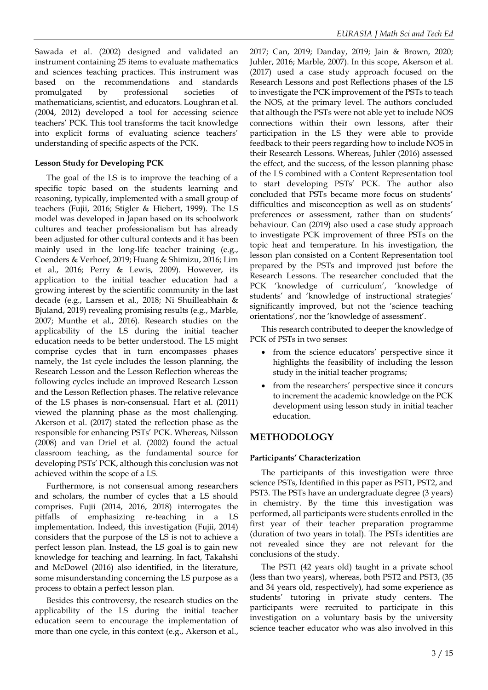Sawada et al. (2002) designed and validated an instrument containing 25 items to evaluate mathematics and sciences teaching practices. This instrument was based on the recommendations and standards promulgated by professional societies of mathematicians, scientist, and educators. Loughran et al. (2004, 2012) developed a tool for accessing science teachers' PCK. This tool transforms the tacit knowledge into explicit forms of evaluating science teachers' understanding of specific aspects of the PCK.

## **Lesson Study for Developing PCK**

The goal of the LS is to improve the teaching of a specific topic based on the students learning and reasoning, typically, implemented with a small group of teachers (Fujii, 2016; Stigler & Hiebert, 1999). The LS model was developed in Japan based on its schoolwork cultures and teacher professionalism but has already been adjusted for other cultural contexts and it has been mainly used in the long-life teacher training (e.g., Coenders & Verhoef, 2019; Huang & Shimizu, 2016; Lim et al., 2016; Perry & Lewis, 2009). However, its application to the initial teacher education had a growing interest by the scientific community in the last decade (e.g., Larssen et al., 2018; Ni Shuilleabhain & Bjuland, 2019) revealing promising results (e.g., Marble, 2007; Munthe et al., 2016). Research studies on the applicability of the LS during the initial teacher education needs to be better understood. The LS might comprise cycles that in turn encompasses phases namely, the 1st cycle includes the lesson planning, the Research Lesson and the Lesson Reflection whereas the following cycles include an improved Research Lesson and the Lesson Reflection phases. The relative relevance of the LS phases is non-consensual. Hart et al. (2011) viewed the planning phase as the most challenging. Akerson et al. (2017) stated the reflection phase as the responsible for enhancing PSTs' PCK. Whereas, Nilsson (2008) and van Driel et al. (2002) found the actual classroom teaching, as the fundamental source for developing PSTs' PCK, although this conclusion was not achieved within the scope of a LS.

Furthermore, is not consensual among researchers and scholars, the number of cycles that a LS should comprises. Fujii (2014, 2016, 2018) interrogates the pitfalls of emphasizing re-teaching in a LS implementation. Indeed, this investigation (Fujii, 2014) considers that the purpose of the LS is not to achieve a perfect lesson plan. Instead, the LS goal is to gain new knowledge for teaching and learning. In fact, Takahshi and McDowel (2016) also identified, in the literature, some misunderstanding concerning the LS purpose as a process to obtain a perfect lesson plan.

Besides this controversy, the research studies on the applicability of the LS during the initial teacher education seem to encourage the implementation of more than one cycle, in this context (e.g., Akerson et al., 2017; Can, 2019; Danday, 2019; Jain & Brown, 2020; Juhler, 2016; Marble, 2007). In this scope, Akerson et al. (2017) used a case study approach focused on the Research Lessons and post Reflections phases of the LS to investigate the PCK improvement of the PSTs to teach the NOS, at the primary level. The authors concluded that although the PSTs were not able yet to include NOS connections within their own lessons, after their participation in the LS they were able to provide feedback to their peers regarding how to include NOS in their Research Lessons. Whereas, Juhler (2016) assessed the effect, and the success, of the lesson planning phase of the LS combined with a Content Representation tool to start developing PSTs' PCK. The author also concluded that PSTs became more focus on students' difficulties and misconception as well as on students' preferences or assessment, rather than on students' behaviour. Can (2019) also used a case study approach to investigate PCK improvement of three PSTs on the topic heat and temperature. In his investigation, the lesson plan consisted on a Content Representation tool prepared by the PSTs and improved just before the Research Lessons. The researcher concluded that the PCK 'knowledge of curriculum', 'knowledge of students' and 'knowledge of instructional strategies' significantly improved, but not the 'science teaching orientations', nor the 'knowledge of assessment'.

This research contributed to deeper the knowledge of PCK of PSTs in two senses:

- from the science educators' perspective since it highlights the feasibility of including the lesson study in the initial teacher programs;
- from the researchers' perspective since it concurs to increment the academic knowledge on the PCK development using lesson study in initial teacher education.

## **METHODOLOGY**

## **Participants' Characterization**

The participants of this investigation were three science PSTs, Identified in this paper as PST1, PST2, and PST3. The PSTs have an undergraduate degree (3 years) in chemistry. By the time this investigation was performed, all participants were students enrolled in the first year of their teacher preparation programme (duration of two years in total). The PSTs identities are not revealed since they are not relevant for the conclusions of the study.

The PST1 (42 years old) taught in a private school (less than two years), whereas, both PST2 and PST3, (35 and 34 years old, respectively), had some experience as students' tutoring in private study centers. The participants were recruited to participate in this investigation on a voluntary basis by the university science teacher educator who was also involved in this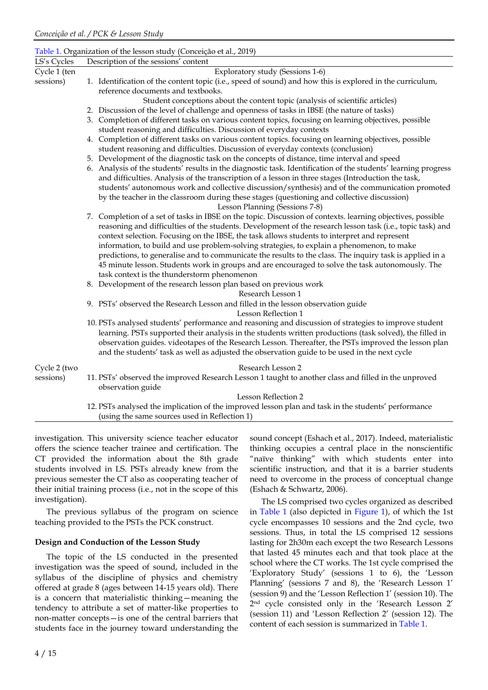|              | Table 1. Organization of the lesson study (Conceição et al., 2019)                                                                                                                                                        |
|--------------|---------------------------------------------------------------------------------------------------------------------------------------------------------------------------------------------------------------------------|
| LS's Cycles  | Description of the sessions' content                                                                                                                                                                                      |
| Cycle 1 (ten | Exploratory study (Sessions 1-6)                                                                                                                                                                                          |
| sessions)    | 1. Identification of the content topic (i.e., speed of sound) and how this is explored in the curriculum,<br>reference documents and textbooks.                                                                           |
|              | Student conceptions about the content topic (analysis of scientific articles)                                                                                                                                             |
|              | 2. Discussion of the level of challenge and openness of tasks in IBSE (the nature of tasks)                                                                                                                               |
|              | 3. Completion of different tasks on various content topics, focusing on learning objectives, possible                                                                                                                     |
|              | student reasoning and difficulties. Discussion of everyday contexts                                                                                                                                                       |
|              | 4. Completion of different tasks on various content topics. focusing on learning objectives, possible                                                                                                                     |
|              | student reasoning and difficulties. Discussion of everyday contexts (conclusion)                                                                                                                                          |
|              | 5. Development of the diagnostic task on the concepts of distance, time interval and speed                                                                                                                                |
|              | 6. Analysis of the students' results in the diagnostic task. Identification of the students' learning progress<br>and difficulties. Analysis of the transcription of a lesson in three stages (Introduction the task,     |
|              | students' autonomous work and collective discussion/synthesis) and of the communication promoted                                                                                                                          |
|              | by the teacher in the classroom during these stages (questioning and collective discussion)                                                                                                                               |
|              | Lesson Planning (Sessions 7-8)                                                                                                                                                                                            |
|              | 7. Completion of a set of tasks in IBSE on the topic. Discussion of contexts. learning objectives, possible<br>reasoning and difficulties of the students. Development of the research lesson task (i.e., topic task) and |
|              | context selection. Focusing on the IBSE, the task allows students to interpret and represent                                                                                                                              |
|              | information, to build and use problem-solving strategies, to explain a phenomenon, to make                                                                                                                                |
|              | predictions, to generalise and to communicate the results to the class. The inquiry task is applied in a                                                                                                                  |
|              | 45 minute lesson. Students work in groups and are encouraged to solve the task autonomously. The                                                                                                                          |
|              |                                                                                                                                                                                                                           |
|              | task context is the thunderstorm phenomenon                                                                                                                                                                               |
|              | 8. Development of the research lesson plan based on previous work<br>Research Lesson 1                                                                                                                                    |
|              | 9. PSTs' observed the Research Lesson and filled in the lesson observation guide                                                                                                                                          |
|              | Lesson Reflection 1                                                                                                                                                                                                       |
|              |                                                                                                                                                                                                                           |
|              | 10. PSTs analysed students' performance and reasoning and discussion of strategies to improve student<br>learning. PSTs supported their analysis in the students written productions (task solved), the filled in         |
|              | observation guides. videotapes of the Research Lesson. Thereafter, the PSTs improved the lesson plan                                                                                                                      |
|              |                                                                                                                                                                                                                           |
|              | and the students' task as well as adjusted the observation guide to be used in the next cycle                                                                                                                             |
| Cycle 2 (two | Research Lesson 2                                                                                                                                                                                                         |
| sessions)    | 11. PSTs' observed the improved Research Lesson 1 taught to another class and filled in the unproved<br>observation guide                                                                                                 |
|              | <b>Lesson Reflection 2</b>                                                                                                                                                                                                |
|              | 12. PSTs analysed the implication of the improved lesson plan and task in the students' performance                                                                                                                       |
|              | (using the same sources used in Reflection 1)                                                                                                                                                                             |
|              |                                                                                                                                                                                                                           |

investigation. This university science teacher educator offers the science teacher trainee and certification. The CT provided the information about the 8th grade students involved in LS. PSTs already knew from the previous semester the CT also as cooperating teacher of their initial training process (i.e., not in the scope of this investigation).

The previous syllabus of the program on science teaching provided to the PSTs the PCK construct.

#### **Design and Conduction of the Lesson Study**

The topic of the LS conducted in the presented investigation was the speed of sound, included in the syllabus of the discipline of physics and chemistry offered at grade 8 (ages between 14-15 years old). There is a concern that materialistic thinking—meaning the tendency to attribute a set of matter-like properties to non-matter concepts—is one of the central barriers that students face in the journey toward understanding the sound concept (Eshach et al., 2017). Indeed, materialistic thinking occupies a central place in the nonscientific "naïve thinking" with which students enter into scientific instruction, and that it is a barrier students need to overcome in the process of conceptual change (Eshach & Schwartz, 2006).

The LS comprised two cycles organized as described in Table 1 (also depicted in Figure 1), of which the 1st cycle encompasses 10 sessions and the 2nd cycle, two sessions. Thus, in total the LS comprised 12 sessions lasting for 2h30m each except the two Research Lessons that lasted 45 minutes each and that took place at the school where the CT works. The 1st cycle comprised the 'Exploratory Study' (sessions 1 to 6), the 'Lesson Planning' (sessions 7 and 8), the 'Research Lesson 1' (session 9) and the 'Lesson Reflection 1' (session 10). The 2 nd cycle consisted only in the 'Research Lesson 2' (session 11) and 'Lesson Reflection 2' (session 12). The content of each session is summarized in Table 1.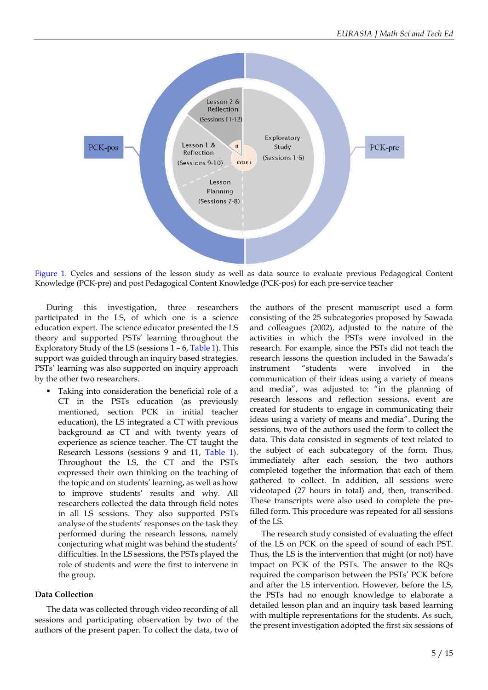

Figure 1. Cycles and sessions of the lesson study as well as data source to evaluate previous Pedagogical Content Knowledge (PCK-pre) and post Pedagogical Content Knowledge (PCK-pos) for each pre-service teacher

During this investigation, three researchers participated in the LS, of which one is a science education expert. The science educator presented the LS theory and supported PSTs' learning throughout the Exploratory Study of the LS (sessions 1 – 6, Table 1). This support was guided through an inquiry based strategies. PSTs' learning was also supported on inquiry approach by the other two researchers.

▪ Taking into consideration the beneficial role of a CT in the PSTs education (as previously mentioned, section PCK in initial teacher education), the LS integrated a CT with previous background as CT and with twenty years of experience as science teacher. The CT taught the Research Lessons (sessions 9 and 11, Table 1). Throughout the LS, the CT and the PSTs expressed their own thinking on the teaching of the topic and on students' learning, as well as how to improve students' results and why. All researchers collected the data through field notes in all LS sessions. They also supported PSTs analyse of the students' responses on the task they performed during the research lessons, namely conjecturing what might was behind the students' difficulties. In the LS sessions, the PSTs played the role of students and were the first to intervene in the group.

#### **Data Collection**

The data was collected through video recording of all sessions and participating observation by two of the authors of the present paper. To collect the data, two of

the authors of the present manuscript used a form consisting of the 25 subcategories proposed by Sawada and colleagues (2002), adjusted to the nature of the activities in which the PSTs were involved in the research. For example, since the PSTs did not teach the research lessons the question included in the Sawada's instrument "students were involved in the communication of their ideas using a variety of means and media", was adjusted to: "in the planning of research lessons and reflection sessions, event are created for students to engage in communicating their ideas using a variety of means and media". During the sessions, two of the authors used the form to collect the data. This data consisted in segments of text related to the subject of each subcategory of the form. Thus, immediately after each session, the two authors completed together the information that each of them gathered to collect. In addition, all sessions were videotaped (27 hours in total) and, then, transcribed. These transcripts were also used to complete the prefilled form. This procedure was repeated for all sessions of the LS.

The research study consisted of evaluating the effect of the LS on PCK on the speed of sound of each PST. Thus, the LS is the intervention that might (or not) have impact on PCK of the PSTs. The answer to the RQs required the comparison between the PSTs' PCK before and after the LS intervention. However, before the LS, the PSTs had no enough knowledge to elaborate a detailed lesson plan and an inquiry task based learning with multiple representations for the students. As such, the present investigation adopted the first six sessions of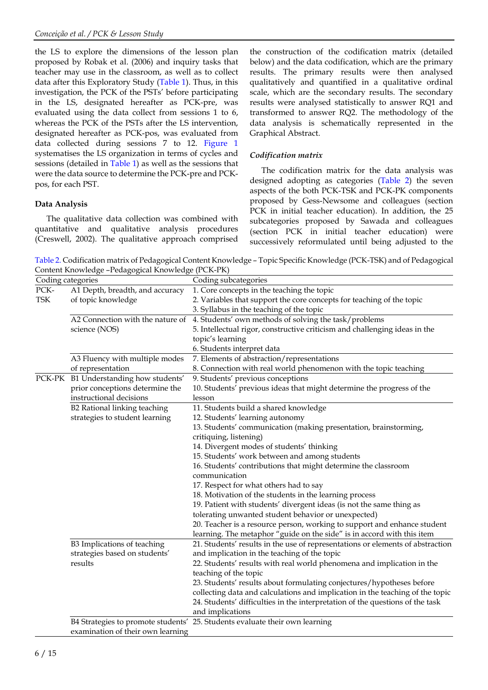the LS to explore the dimensions of the lesson plan proposed by Robak et al. (2006) and inquiry tasks that teacher may use in the classroom, as well as to collect data after this Exploratory Study (Table 1). Thus, in this investigation, the PCK of the PSTs' before participating in the LS, designated hereafter as PCK-pre, was evaluated using the data collect from sessions 1 to 6, whereas the PCK of the PSTs after the LS intervention, designated hereafter as PCK-pos, was evaluated from data collected during sessions 7 to 12. Figure 1 systematises the LS organization in terms of cycles and sessions (detailed in Table 1) as well as the sessions that were the data source to determine the PCK-pre and PCKpos, for each PST.

### **Data Analysis**

The qualitative data collection was combined with quantitative and qualitative analysis procedures (Creswell, 2002). The qualitative approach comprised

the construction of the codification matrix (detailed below) and the data codification, which are the primary results. The primary results were then analysed qualitatively and quantified in a qualitative ordinal scale, which are the secondary results. The secondary results were analysed statistically to answer RQ1 and transformed to answer RQ2. The methodology of the data analysis is schematically represented in the Graphical Abstract.

## *Codification matrix*

The codification matrix for the data analysis was designed adopting as categories (Table 2) the seven aspects of the both PCK-TSK and PCK-PK components proposed by Gess-Newsome and colleagues (section PCK in initial teacher education). In addition, the 25 subcategories proposed by Sawada and colleagues (section PCK in initial teacher education) were successively reformulated until being adjusted to the

Table 2. Codification matrix of Pedagogical Content Knowledge – Topic Specific Knowledge (PCK-TSK) and of Pedagogical Content Knowledge –Pedagogical Knowledge (PCK-PK)

| Coding categories  |                                   | Coding subcategories                                                           |  |  |  |
|--------------------|-----------------------------------|--------------------------------------------------------------------------------|--|--|--|
| $\rm{PCK}\mbox{-}$ | A1 Depth, breadth, and accuracy   | 1. Core concepts in the teaching the topic                                     |  |  |  |
| TSK                | of topic knowledge                | 2. Variables that support the core concepts for teaching of the topic          |  |  |  |
|                    |                                   | 3. Syllabus in the teaching of the topic                                       |  |  |  |
|                    | A2 Connection with the nature of  | 4. Students' own methods of solving the task/problems                          |  |  |  |
|                    | science (NOS)                     | 5. Intellectual rigor, constructive criticism and challenging ideas in the     |  |  |  |
|                    |                                   | topic's learning                                                               |  |  |  |
|                    |                                   | 6. Students interpret data                                                     |  |  |  |
|                    | A3 Fluency with multiple modes    | 7. Elements of abstraction/representations                                     |  |  |  |
|                    | of representation                 | 8. Connection with real world phenomenon with the topic teaching               |  |  |  |
| PCK-PK             | B1 Understanding how students'    | 9. Students' previous conceptions                                              |  |  |  |
|                    | prior conceptions determine the   | 10. Students' previous ideas that might determine the progress of the          |  |  |  |
|                    | instructional decisions           | lesson                                                                         |  |  |  |
|                    | B2 Rational linking teaching      | 11. Students build a shared knowledge                                          |  |  |  |
|                    | strategies to student learning    | 12. Students' learning autonomy                                                |  |  |  |
|                    |                                   | 13. Students' communication (making presentation, brainstorming,               |  |  |  |
|                    |                                   | critiquing, listening)                                                         |  |  |  |
|                    |                                   | 14. Divergent modes of students' thinking                                      |  |  |  |
|                    |                                   | 15. Students' work between and among students                                  |  |  |  |
|                    |                                   | 16. Students' contributions that might determine the classroom                 |  |  |  |
|                    |                                   | communication                                                                  |  |  |  |
|                    |                                   | 17. Respect for what others had to say                                         |  |  |  |
|                    |                                   | 18. Motivation of the students in the learning process                         |  |  |  |
|                    |                                   | 19. Patient with students' divergent ideas (is not the same thing as           |  |  |  |
|                    |                                   | tolerating unwanted student behavior or unexpected)                            |  |  |  |
|                    |                                   | 20. Teacher is a resource person, working to support and enhance student       |  |  |  |
|                    |                                   | learning. The metaphor "guide on the side" is in accord with this item         |  |  |  |
|                    | B3 Implications of teaching       | 21. Students' results in the use of representations or elements of abstraction |  |  |  |
|                    | strategies based on students'     | and implication in the teaching of the topic                                   |  |  |  |
|                    | results                           | 22. Students' results with real world phenomena and implication in the         |  |  |  |
|                    |                                   | teaching of the topic                                                          |  |  |  |
|                    |                                   | 23. Students' results about formulating conjectures/hypotheses before          |  |  |  |
|                    |                                   | collecting data and calculations and implication in the teaching of the topic  |  |  |  |
|                    |                                   | 24. Students' difficulties in the interpretation of the questions of the task  |  |  |  |
|                    |                                   | and implications                                                               |  |  |  |
|                    |                                   | B4 Strategies to promote students' 25. Students evaluate their own learning    |  |  |  |
|                    | examination of their own learning |                                                                                |  |  |  |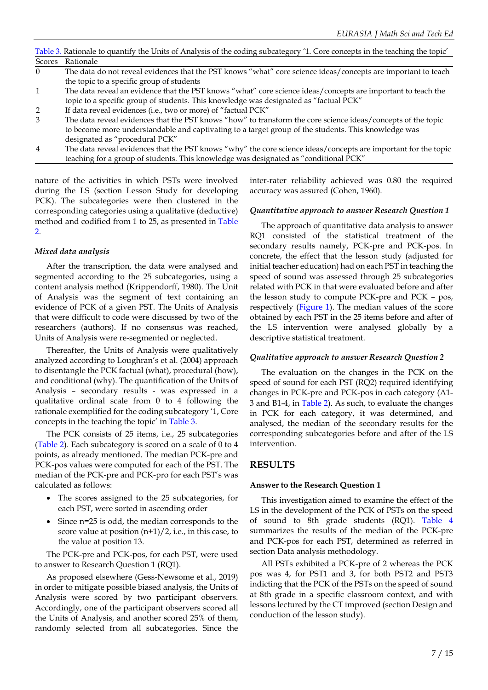|                | Table 3. Rationale to quantify the Units of Analysis of the coding subcategory '1. Core concepts in the teaching the topic' |
|----------------|-----------------------------------------------------------------------------------------------------------------------------|
| Scores         | Rationale                                                                                                                   |
| $\Omega$       | The data do not reveal evidences that the PST knows "what" core science ideas/concepts are important to teach               |
|                | the topic to a specific group of students                                                                                   |
| $\mathbf{1}$   | The data reveal an evidence that the PST knows "what" core science ideas/concepts are important to teach the                |
|                | topic to a specific group of students. This knowledge was designated as "factual PCK"                                       |
| $\overline{2}$ | If data reveal evidences (i.e., two or more) of "factual PCK"                                                               |
| 3              | The data reveal evidences that the PST knows "how" to transform the core science ideas/concepts of the topic                |
|                | to become more understandable and captivating to a target group of the students. This knowledge was                         |
|                | designated as "procedural PCK"                                                                                              |
| $\overline{4}$ | The data reveal evidences that the PST knows "why" the core science ideas/concepts are important for the topic              |
|                | teaching for a group of students. This knowledge was designated as "conditional PCK"                                        |
|                |                                                                                                                             |

nature of the activities in which PSTs were involved during the LS (section Lesson Study for developing PCK). The subcategories were then clustered in the corresponding categories using a qualitative (deductive) method and codified from 1 to 25, as presented in Table 2.

#### *Mixed data analysis*

After the transcription, the data were analysed and segmented according to the 25 subcategories, using a content analysis method (Krippendorff, 1980). The Unit of Analysis was the segment of text containing an evidence of PCK of a given PST. The Units of Analysis that were difficult to code were discussed by two of the researchers (authors). If no consensus was reached, Units of Analysis were re-segmented or neglected.

Thereafter, the Units of Analysis were qualitatively analyzed according to Loughran's et al. (2004) approach to disentangle the PCK factual (what), procedural (how), and conditional (why). The quantification of the Units of Analysis – secondary results - was expressed in a qualitative ordinal scale from 0 to 4 following the rationale exemplified for the coding subcategory '1, Core concepts in the teaching the topic' in Table 3.

The PCK consists of 25 items, i.e., 25 subcategories (Table 2). Each subcategory is scored on a scale of 0 to 4 points, as already mentioned. The median PCK-pre and PCK-pos values were computed for each of the PST. The median of the PCK-pre and PCK-pro for each PST's was calculated as follows:

- The scores assigned to the 25 subcategories, for each PST, were sorted in ascending order
- Since n=25 is odd, the median corresponds to the score value at position  $(n+1)/2$ , i.e., in this case, to the value at position 13.

The PCK-pre and PCK-pos, for each PST, were used to answer to Research Question 1 (RQ1).

As proposed elsewhere (Gess-Newsome et al., 2019) in order to mitigate possible biased analysis, the Units of Analysis were scored by two participant observers. Accordingly, one of the participant observers scored all the Units of Analysis, and another scored 25% of them, randomly selected from all subcategories. Since the inter-rater reliability achieved was 0.80 the required accuracy was assured (Cohen, 1960).

#### *Quantitative approach to answer Research Question 1*

The approach of quantitative data analysis to answer RQ1 consisted of the statistical treatment of the secondary results namely, PCK-pre and PCK-pos. In concrete, the effect that the lesson study (adjusted for initial teacher education) had on each PST in teaching the speed of sound was assessed through 25 subcategories related with PCK in that were evaluated before and after the lesson study to compute PCK-pre and PCK – pos, respectively (Figure 1). The median values of the score obtained by each PST in the 25 items before and after of the LS intervention were analysed globally by a descriptive statistical treatment.

#### *Qualitative approach to answer Research Question 2*

The evaluation on the changes in the PCK on the speed of sound for each PST (RQ2) required identifying changes in PCK-pre and PCK-pos in each category (A1- 3 and B1-4, in Table 2). As such, to evaluate the changes in PCK for each category, it was determined, and analysed, the median of the secondary results for the corresponding subcategories before and after of the LS intervention.

#### **RESULTS**

#### **Answer to the Research Question 1**

This investigation aimed to examine the effect of the LS in the development of the PCK of PSTs on the speed of sound to 8th grade students (RQ1). Table 4 summarizes the results of the median of the PCK-pre and PCK-pos for each PST, determined as referred in section Data analysis methodology.

All PSTs exhibited a PCK-pre of 2 whereas the PCK pos was 4, for PST1 and 3, for both PST2 and PST3 indicting that the PCK of the PSTs on the speed of sound at 8th grade in a specific classroom context, and with lessons lectured by the CT improved (section Design and conduction of the lesson study).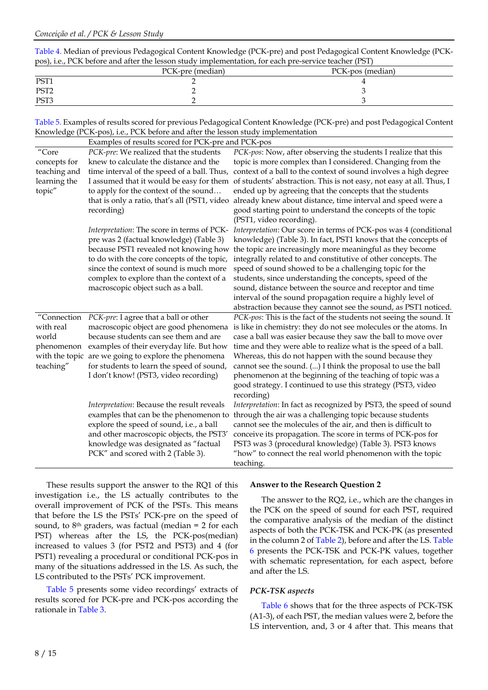Table 4. Median of previous Pedagogical Content Knowledge (PCK-pre) and post Pedagogical Content Knowledge (PCKpos), i.e., PCK before and after the lesson study implementation, for each pre-service teacher (PST)

|                  | PCK-pre (median) | PCK-pos (median) |
|------------------|------------------|------------------|
| PST <sub>1</sub> |                  |                  |
| PST <sub>2</sub> |                  |                  |
| PST <sub>3</sub> |                  |                  |

Table 5. Examples of results scored for previous Pedagogical Content Knowledge (PCK-pre) and post Pedagogical Content Knowledge (PCK-pos), i.e., PCK before and after the lesson study implementation

|                        | Examples of results scored for PCK-pre and PCK-pos                                                                    |                                                                                                                                                                                                  |  |  |  |
|------------------------|-----------------------------------------------------------------------------------------------------------------------|--------------------------------------------------------------------------------------------------------------------------------------------------------------------------------------------------|--|--|--|
| $^{\prime\prime}$ Core | PCK-pre: We realized that the students                                                                                | PCK-pos: Now, after observing the students I realize that this                                                                                                                                   |  |  |  |
| concepts for           | knew to calculate the distance and the                                                                                | topic is more complex than I considered. Changing from the                                                                                                                                       |  |  |  |
| teaching and           | time interval of the speed of a ball. Thus,                                                                           | context of a ball to the context of sound involves a high degree                                                                                                                                 |  |  |  |
| learning the           |                                                                                                                       | I assumed that it would be easy for them of students' abstraction. This is not easy, not easy at all. Thus, I                                                                                    |  |  |  |
| topic"                 | to apply for the context of the sound                                                                                 | ended up by agreeing that the concepts that the students                                                                                                                                         |  |  |  |
|                        | that is only a ratio, that's all (PST1, video                                                                         | already knew about distance, time interval and speed were a                                                                                                                                      |  |  |  |
|                        | recording)                                                                                                            | good starting point to understand the concepts of the topic                                                                                                                                      |  |  |  |
|                        |                                                                                                                       | (PST1, video recording).                                                                                                                                                                         |  |  |  |
|                        |                                                                                                                       | Interpretation: The score in terms of PCK- Interpretation: Our score in terms of PCK-pos was 4 (conditional                                                                                      |  |  |  |
|                        | pre was 2 (factual knowledge) (Table 3)                                                                               | knowledge) (Table 3). In fact, PST1 knows that the concepts of                                                                                                                                   |  |  |  |
|                        | because PST1 revealed not knowing how                                                                                 | the topic are increasingly more meaningful as they become                                                                                                                                        |  |  |  |
|                        | to do with the core concepts of the topic,                                                                            | integrally related to and constitutive of other concepts. The                                                                                                                                    |  |  |  |
|                        | since the context of sound is much more                                                                               | speed of sound showed to be a challenging topic for the                                                                                                                                          |  |  |  |
|                        | complex to explore than the context of a                                                                              | students, since understanding the concepts, speed of the                                                                                                                                         |  |  |  |
|                        | macroscopic object such as a ball.                                                                                    | sound, distance between the source and receptor and time                                                                                                                                         |  |  |  |
|                        |                                                                                                                       | interval of the sound propagation require a highly level of                                                                                                                                      |  |  |  |
|                        |                                                                                                                       | abstraction because they cannot see the sound, as PST1 noticed.                                                                                                                                  |  |  |  |
| "Connection            | PCK-pre: I agree that a ball or other                                                                                 | PCK-pos: This is the fact of the students not seeing the sound. It                                                                                                                               |  |  |  |
| with real              | macroscopic object are good phenomena                                                                                 | is like in chemistry: they do not see molecules or the atoms. In                                                                                                                                 |  |  |  |
| world                  | because students can see them and are                                                                                 | case a ball was easier because they saw the ball to move over                                                                                                                                    |  |  |  |
| phenomenon             | examples of their everyday life. But how                                                                              | time and they were able to realize what is the speed of a ball.                                                                                                                                  |  |  |  |
|                        | with the topic are we going to explore the phenomena                                                                  | Whereas, this do not happen with the sound because they                                                                                                                                          |  |  |  |
| teaching"              | for students to learn the speed of sound,                                                                             | cannot see the sound. () I think the proposal to use the ball                                                                                                                                    |  |  |  |
|                        | I don't know! (PST3, video recording)                                                                                 | phenomenon at the beginning of the teaching of topic was a                                                                                                                                       |  |  |  |
|                        |                                                                                                                       | good strategy. I continued to use this strategy (PST3, video                                                                                                                                     |  |  |  |
|                        |                                                                                                                       | recording)                                                                                                                                                                                       |  |  |  |
|                        | Interpretation: Because the result reveals                                                                            | Interpretation: In fact as recognized by PST3, the speed of sound<br>through the air was a challenging topic because students                                                                    |  |  |  |
|                        | examples that can be the phenomenon to<br>explore the speed of sound, i.e., a ball                                    | cannot see the molecules of the air, and then is difficult to                                                                                                                                    |  |  |  |
|                        |                                                                                                                       |                                                                                                                                                                                                  |  |  |  |
|                        |                                                                                                                       |                                                                                                                                                                                                  |  |  |  |
|                        |                                                                                                                       |                                                                                                                                                                                                  |  |  |  |
|                        |                                                                                                                       |                                                                                                                                                                                                  |  |  |  |
|                        | and other macroscopic objects, the PST3'<br>knowledge was designated as "factual<br>PCK" and scored with 2 (Table 3). | conceive its propagation. The score in terms of PCK-pos for<br>PST3 was 3 (procedural knowledge) (Table 3). PST3 knows<br>"how" to connect the real world phenomenon with the topic<br>teaching. |  |  |  |

These results support the answer to the RQ1 of this investigation i.e., the LS actually contributes to the overall improvement of PCK of the PSTs. This means that before the LS the PSTs' PCK-pre on the speed of sound, to 8<sup>th</sup> graders, was factual (median = 2 for each PST) whereas after the LS, the PCK-pos(median) increased to values 3 (for PST2 and PST3) and 4 (for PST1) revealing a procedural or conditional PCK-pos in many of the situations addressed in the LS. As such, the LS contributed to the PSTs' PCK improvement.

Table 5 presents some video recordings' extracts of results scored for PCK-pre and PCK-pos according the rationale in Table 3.

#### **Answer to the Research Question 2**

The answer to the RQ2, i.e., which are the changes in the PCK on the speed of sound for each PST, required the comparative analysis of the median of the distinct aspects of both the PCK-TSK and PCK-PK (as presented in the column 2 of Table 2), before and after the LS. Table 6 presents the PCK-TSK and PCK-PK values, together with schematic representation, for each aspect, before and after the LS.

#### *PCK-TSK aspects*

Table 6 shows that for the three aspects of PCK-TSK (A1-3), of each PST, the median values were 2, before the LS intervention, and, 3 or 4 after that. This means that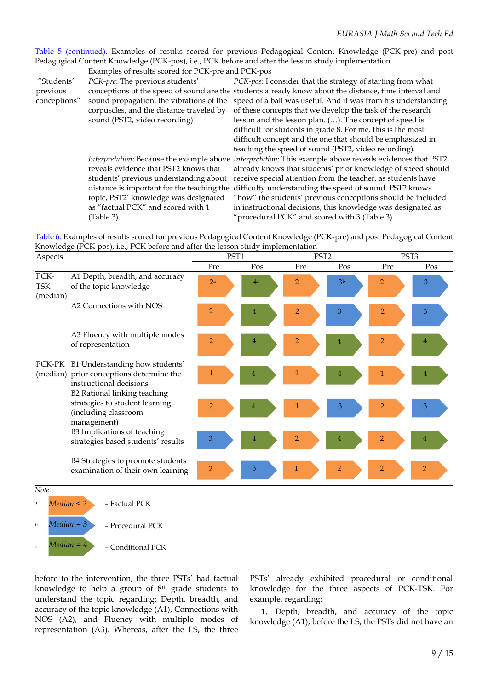Table 5 (continued). Examples of results scored for previous Pedagogical Content Knowledge (PCK-pre) and post Pedagogical Content Knowledge (PCK-pos), i.e., PCK before and after the lesson study implementation

|                                          | Examples of results scored for PCK-pre and PCK-pos |                                                                                                          |  |  |
|------------------------------------------|----------------------------------------------------|----------------------------------------------------------------------------------------------------------|--|--|
| "Students'                               | PCK-pre: The previous students'                    | PCK-pos: I consider that the strategy of starting from what                                              |  |  |
| previous                                 |                                                    | conceptions of the speed of sound are the students already know about the distance, time interval and    |  |  |
| conceptions"                             | sound propagation, the vibrations of the           | speed of a ball was useful. And it was from his understanding                                            |  |  |
| corpuscles, and the distance traveled by |                                                    | of these concepts that we develop the task of the research                                               |  |  |
|                                          | sound (PST2, video recording)                      | lesson and the lesson plan. (). The concept of speed is                                                  |  |  |
|                                          |                                                    | difficult for students in grade 8. For me, this is the most                                              |  |  |
|                                          |                                                    | difficult concept and the one that should be emphasized in                                               |  |  |
|                                          |                                                    | teaching the speed of sound (PST2, video recording).                                                     |  |  |
|                                          |                                                    | Interpretation: Because the example above Interpretation: This example above reveals evidences that PST2 |  |  |
|                                          | reveals evidence that PST2 knows that              | already knows that students' prior knowledge of speed should                                             |  |  |
|                                          | students' previous understanding about             | receive special attention from the teacher, as students have                                             |  |  |
|                                          |                                                    | distance is important for the teaching the difficulty understanding the speed of sound. PST2 knows       |  |  |
|                                          | topic, PST2' knowledge was designated              | "how" the students' previous conceptions should be included                                              |  |  |
|                                          | as "factual PCK" and scored with 1                 | in instructional decisions, this knowledge was designated as                                             |  |  |
|                                          | (Table 3).                                         | "procedural PCK" and scored with 3 (Table 3).                                                            |  |  |

Table 6. Examples of results scored for previous Pedagogical Content Knowledge (PCK-pre) and post Pedagogical Content Knowledge (PCK-pos), i.e., PCK before and after the lesson study implementation

| Aspects                        |                                                                                                                                              | PST1           |                | PST <sub>2</sub> |                | PST <sub>3</sub> |     |
|--------------------------------|----------------------------------------------------------------------------------------------------------------------------------------------|----------------|----------------|------------------|----------------|------------------|-----|
|                                |                                                                                                                                              | Pre            | Pos            | Pre              | Pos            | Pre              | Pos |
| PCK-<br><b>TSK</b><br>(median) | A1 Depth, breadth, and accuracy<br>of the topic knowledge                                                                                    | 2 <sup>a</sup> | 4 <sup>c</sup> | 2                | 3 <sup>b</sup> | $\overline{2}$   | 3   |
|                                | A2 Connections with NOS                                                                                                                      | 2              | 4              | 2                | 3              | 2                | 3   |
|                                | A3 Fluency with multiple modes<br>of representation                                                                                          | $\overline{2}$ | 4              | 2                | 4              | 2                | 4   |
|                                | PCK-PK B1 Understanding how students'<br>(median) prior conceptions determine the<br>instructional decisions<br>B2 Rational linking teaching | $\mathbf{1}$   |                |                  | 4              | 1                | 4   |
|                                | strategies to student learning<br>(including classroom<br>management)                                                                        | $\overline{2}$ | 4              |                  | 3              | $\overline{2}$   | 3   |
|                                | B3 Implications of teaching<br>strategies based students' results                                                                            | 3              |                | 2                | 4              | $\overline{2}$   | 4   |
|                                | B4 Strategies to promote students<br>examination of their own learning                                                                       | $\overline{2}$ | 3              |                  | $\overline{2}$ | $\overline{2}$   | 2   |
| Note.                          |                                                                                                                                              |                |                |                  |                |                  |     |
| $Median \leq 2$<br>a           | - Factual PCK                                                                                                                                |                |                |                  |                |                  |     |
| Median = 3<br>b                | - Procedural PCK                                                                                                                             |                |                |                  |                |                  |     |

<sup>c</sup> *–* Conditional PCK *Median = 4*

before to the intervention, the three PSTs' had factual knowledge to help a group of 8 th grade students to understand the topic regarding: Depth, breadth, and accuracy of the topic knowledge (A1), Connections with NOS (A2), and Fluency with multiple modes of representation (A3). Whereas, after the LS, the three PSTs' already exhibited procedural or conditional knowledge for the three aspects of PCK-TSK. For example, regarding:

1. Depth, breadth, and accuracy of the topic knowledge (A1), before the LS, the PSTs did not have an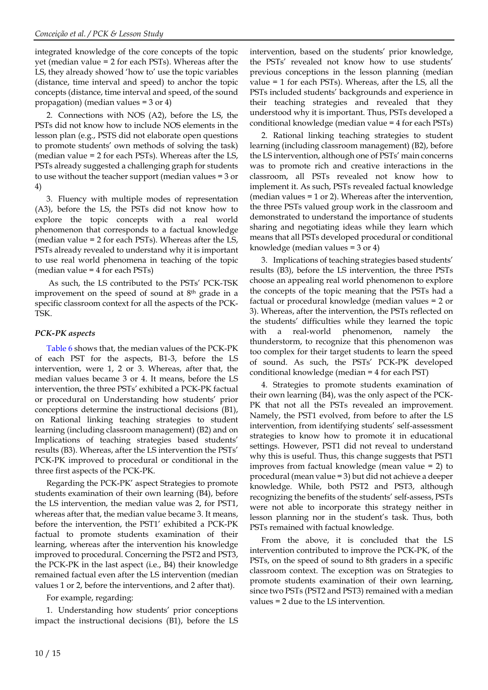integrated knowledge of the core concepts of the topic yet (median value = 2 for each PSTs). Whereas after the LS, they already showed 'how to' use the topic variables (distance, time interval and speed) to anchor the topic concepts (distance, time interval and speed, of the sound propagation) (median values = 3 or 4)

2. Connections with NOS (A2), before the LS, the PSTs did not know how to include NOS elements in the lesson plan (e.g., PSTS did not elaborate open questions to promote students' own methods of solving the task) (median value = 2 for each PSTs). Whereas after the LS, PSTs already suggested a challenging graph for students to use without the teacher support (median values = 3 or 4)

3. Fluency with multiple modes of representation (A3), before the LS, the PSTs did not know how to explore the topic concepts with a real world phenomenon that corresponds to a factual knowledge (median value = 2 for each PSTs). Whereas after the LS, PSTs already revealed to understand why it is important to use real world phenomena in teaching of the topic (median value = 4 for each PSTs)

As such, the LS contributed to the PSTs' PCK-TSK improvement on the speed of sound at 8 th grade in a specific classroom context for all the aspects of the PCK-TSK.

## *PCK-PK aspects*

Table 6 shows that, the median values of the PCK-PK of each PST for the aspects, B1-3, before the LS intervention, were 1, 2 or 3. Whereas, after that, the median values became 3 or 4. It means, before the LS intervention, the three PSTs' exhibited a PCK-PK factual or procedural on Understanding how students' prior conceptions determine the instructional decisions (B1), on Rational linking teaching strategies to student learning (including classroom management) (B2) and on Implications of teaching strategies based students' results (B3). Whereas, after the LS intervention the PSTs' PCK-PK improved to procedural or conditional in the three first aspects of the PCK-PK.

Regarding the PCK-PK' aspect Strategies to promote students examination of their own learning (B4), before the LS intervention, the median value was 2, for PST1, whereas after that, the median value became 3. It means, before the intervention, the PST1' exhibited a PCK-PK factual to promote students examination of their learning, whereas after the intervention his knowledge improved to procedural. Concerning the PST2 and PST3, the PCK-PK in the last aspect (i.e., B4) their knowledge remained factual even after the LS intervention (median values 1 or 2, before the interventions, and 2 after that).

For example, regarding:

1. Understanding how students' prior conceptions impact the instructional decisions (B1), before the LS intervention, based on the students' prior knowledge, the PSTs' revealed not know how to use students' previous conceptions in the lesson planning (median value = 1 for each PSTs). Whereas, after the LS, all the PSTs included students' backgrounds and experience in their teaching strategies and revealed that they understood why it is important. Thus, PSTs developed a conditional knowledge (median value = 4 for each PSTs)

2. Rational linking teaching strategies to student learning (including classroom management) (B2), before the LS intervention, although one of PSTs' main concerns was to promote rich and creative interactions in the classroom, all PSTs revealed not know how to implement it. As such, PSTs revealed factual knowledge (median values = 1 or 2). Whereas after the intervention, the three PSTs valued group work in the classroom and demonstrated to understand the importance of students sharing and negotiating ideas while they learn which means that all PSTs developed procedural or conditional knowledge (median values = 3 or 4)

3. Implications of teaching strategies based students' results (B3), before the LS intervention, the three PSTs choose an appealing real world phenomenon to explore the concepts of the topic meaning that the PSTs had a factual or procedural knowledge (median values = 2 or 3). Whereas, after the intervention, the PSTs reflected on the students' difficulties while they learned the topic with a real-world phenomenon, namely the thunderstorm, to recognize that this phenomenon was too complex for their target students to learn the speed of sound. As such, the PSTs' PCK-PK developed conditional knowledge (median = 4 for each PST)

4. Strategies to promote students examination of their own learning (B4), was the only aspect of the PCK-PK that not all the PSTs revealed an improvement. Namely, the PST1 evolved, from before to after the LS intervention, from identifying students' self-assessment strategies to know how to promote it in educational settings. However, PST1 did not reveal to understand why this is useful. Thus, this change suggests that PST1 improves from factual knowledge (mean value = 2) to procedural (mean value = 3) but did not achieve a deeper knowledge. While, both PST2 and PST3, although recognizing the benefits of the students' self-assess, PSTs were not able to incorporate this strategy neither in lesson planning nor in the student's task. Thus, both PSTs remained with factual knowledge.

From the above, it is concluded that the LS intervention contributed to improve the PCK-PK, of the PSTs, on the speed of sound to 8th graders in a specific classroom context. The exception was on Strategies to promote students examination of their own learning, since two PSTs (PST2 and PST3) remained with a median values = 2 due to the LS intervention.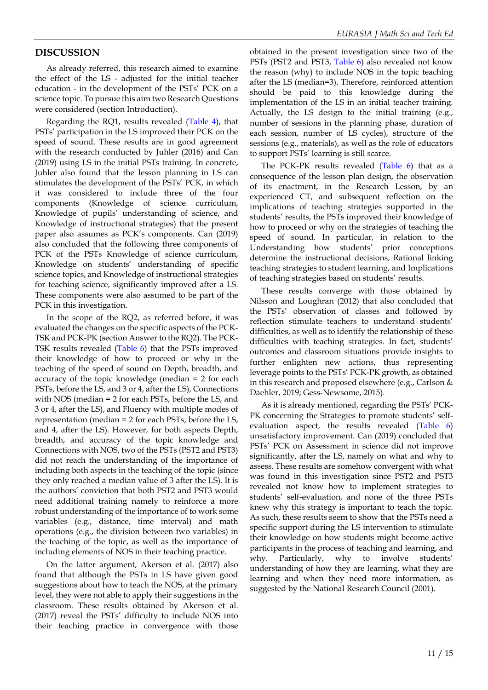#### **DISCUSSION**

As already referred, this research aimed to examine the effect of the LS - adjusted for the initial teacher education - in the development of the PSTs' PCK on a science topic. To pursue this aim two Research Questions were considered (section Introduction).

Regarding the RQ1, results revealed (Table 4), that PSTs' participation in the LS improved their PCK on the speed of sound. These results are in good agreement with the research conducted by Juhler (2016) and Can (2019) using LS in the initial PSTs training. In concrete, Juhler also found that the lesson planning in LS can stimulates the development of the PSTs' PCK, in which it was considered to include three of the four components (Knowledge of science curriculum, Knowledge of pupils' understanding of science, and Knowledge of instructional strategies) that the present paper also assumes as PCK's components. Can (2019) also concluded that the following three components of PCK of the PSTs Knowledge of science curriculum, Knowledge on students' understanding of specific science topics, and Knowledge of instructional strategies for teaching science, significantly improved after a LS. These components were also assumed to be part of the PCK in this investigation.

In the scope of the RQ2, as referred before, it was evaluated the changes on the specific aspects of the PCK-TSK and PCK-PK (section Answer to the RQ2). The PCK-TSK results revealed (Table 6) that the PSTs improved their knowledge of how to proceed or why in the teaching of the speed of sound on Depth, breadth, and accuracy of the topic knowledge (median = 2 for each PSTs, before the LS, and 3 or 4, after the LS), Connections with NOS (median = 2 for each PSTs, before the LS, and 3 or 4, after the LS), and Fluency with multiple modes of representation (median = 2 for each PSTs, before the LS, and 4, after the LS). However, for both aspects Depth, breadth, and accuracy of the topic knowledge and Connections with NOS, two of the PSTs (PST2 and PST3) did not reach the understanding of the importance of including both aspects in the teaching of the topic (since they only reached a median value of 3 after the LS). It is the authors' conviction that both PST2 and PST3 would need additional training namely to reinforce a more robust understanding of the importance of to work some variables (e.g., distance, time interval) and math operations (e.g., the division between two variables) in the teaching of the topic, as well as the importance of including elements of NOS in their teaching practice.

On the latter argument, Akerson et al. (2017) also found that although the PSTs in LS have given good suggestions about how to teach the NOS, at the primary level, they were not able to apply their suggestions in the classroom. These results obtained by Akerson et al. (2017) reveal the PSTs' difficulty to include NOS into their teaching practice in convergence with those

obtained in the present investigation since two of the PSTs (PST2 and PST3, Table 6) also revealed not know the reason (why) to include NOS in the topic teaching after the LS (median=3). Therefore, reinforced attention should be paid to this knowledge during the implementation of the LS in an initial teacher training. Actually, the LS design to the initial training (e.g., number of sessions in the planning phase, duration of each session, number of LS cycles), structure of the sessions (e.g., materials), as well as the role of educators to support PSTs' learning is still scarce.

The PCK-PK results revealed (Table 6) that as a consequence of the lesson plan design, the observation of its enactment, in the Research Lesson, by an experienced CT, and subsequent reflection on the implications of teaching strategies supported in the students' results, the PSTs improved their knowledge of how to proceed or why on the strategies of teaching the speed of sound. In particular, in relation to the Understanding how students' prior conceptions determine the instructional decisions, Rational linking teaching strategies to student learning, and Implications of teaching strategies based on students' results.

These results converge with those obtained by Nilsson and Loughran (2012) that also concluded that the PSTs' observation of classes and followed by reflection stimulate teachers to understand students' difficulties, as well as to identify the relationship of these difficulties with teaching strategies. In fact, students' outcomes and classroom situations provide insights to further enlighten new actions, thus representing leverage points to the PSTs' PCK-PK growth, as obtained in this research and proposed elsewhere (e.g., Carlson & Daehler, 2019; Gess-Newsome, 2015).

As it is already mentioned, regarding the PSTs' PCK-PK concerning the Strategies to promote students' selfevaluation aspect, the results revealed (Table 6) unsatisfactory improvement. Can (2019) concluded that PSTs' PCK on Assessment in science did not improve significantly, after the LS, namely on what and why to assess. These results are somehow convergent with what was found in this investigation since PST2 and PST3 revealed not know how to implement strategies to students' self-evaluation, and none of the three PSTs knew why this strategy is important to teach the topic. As such, these results seem to show that the PSTs need a specific support during the LS intervention to stimulate their knowledge on how students might become active participants in the process of teaching and learning, and why. Particularly, why to involve students' understanding of how they are learning, what they are learning and when they need more information, as suggested by the National Research Council (2001).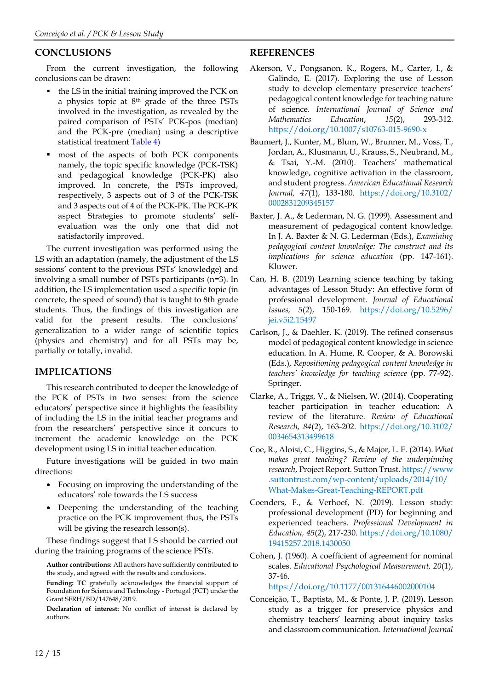## **CONCLUSIONS**

From the current investigation, the following conclusions can be drawn:

- the LS in the initial training improved the PCK on a physics topic at 8<sup>th</sup> grade of the three PSTs involved in the investigation, as revealed by the paired comparison of PSTs' PCK-pos (median) and the PCK-pre (median) using a descriptive statistical treatment Table 4)
- most of the aspects of both PCK components namely, the topic specific knowledge (PCK-TSK) and pedagogical knowledge (PCK-PK) also improved. In concrete, the PSTs improved, respectively, 3 aspects out of 3 of the PCK-TSK and 3 aspects out of 4 of the PCK-PK. The PCK-PK aspect Strategies to promote students' selfevaluation was the only one that did not satisfactorily improved.

The current investigation was performed using the LS with an adaptation (namely, the adjustment of the LS sessions' content to the previous PSTs' knowledge) and involving a small number of PSTs participants (n=3). In addition, the LS implementation used a specific topic (in concrete, the speed of sound) that is taught to 8th grade students. Thus, the findings of this investigation are valid for the present results. The conclusions' generalization to a wider range of scientific topics (physics and chemistry) and for all PSTs may be, partially or totally, invalid.

## **IMPLICATIONS**

This research contributed to deeper the knowledge of the PCK of PSTs in two senses: from the science educators' perspective since it highlights the feasibility of including the LS in the initial teacher programs and from the researchers' perspective since it concurs to increment the academic knowledge on the PCK development using LS in initial teacher education.

Future investigations will be guided in two main directions:

- Focusing on improving the understanding of the educators' role towards the LS success
- Deepening the understanding of the teaching practice on the PCK improvement thus, the PSTs will be giving the research lesson(s).

These findings suggest that LS should be carried out during the training programs of the science PSTs.

**Author contributions:** All authors have sufficiently contributed to the study, and agreed with the results and conclusions.

**Funding: TC** gratefully acknowledges the financial support of Foundation for Science and Technology - Portugal (FCT) under the Grant SFRH/BD/147648/2019.

**Declaration of interest:** No conflict of interest is declared by authors.

## **REFERENCES**

- Akerson, V., Pongsanon, K., Rogers, M., Carter, I., & Galindo, E. (2017). Exploring the use of Lesson study to develop elementary preservice teachers' pedagogical content knowledge for teaching nature of science. *International Journal of Science and Mathematics Education*, *15*(2), 293-312. <https://doi.org/10.1007/s10763-015-9690-x>
- Baumert, J., Kunter, M., Blum, W., Brunner, M., Voss, T., Jordan, A., Klusmann, U., Krauss, S., Neubrand, M., & Tsai, Y.-M. (2010). Teachers' mathematical knowledge, cognitive activation in the classroom, and student progress. *American Educational Research Journal, 47*(1), 133-180. [https://doi.org/10.3102/](https://doi.org/10.3102/0002831209345157) [0002831209345157](https://doi.org/10.3102/0002831209345157)
- Baxter, J. A., & Lederman, N. G. (1999). Assessment and measurement of pedagogical content knowledge. In J. A. Baxter & N. G. Lederman (Eds.), *Examining pedagogical content knowledge: The construct and its implications for science education* (pp. 147-161). Kluwer.
- Can, H. B. (2019) Learning science teaching by taking advantages of Lesson Study: An effective form of professional development. *Journal of Educational Issues, 5*(2), 150-169. [https://doi.org/10.5296/](https://doi.org/10.5296/jei.v5i2.15497) [jei.v5i2.15497](https://doi.org/10.5296/jei.v5i2.15497)
- Carlson, J., & Daehler, K. (2019). The refined consensus model of pedagogical content knowledge in science education. In A. Hume, R. Cooper, & A. Borowski (Eds.), *Repositioning pedagogical content knowledge in teachers' knowledge for teaching science* (pp. 77-92). Springer.
- Clarke, A., Triggs, V., & Nielsen, W. (2014). Cooperating teacher participation in teacher education: A review of the literature. *Review of Educational Research, 84*(2), 163-202. [https://doi.org/10.3102/](https://doi.org/10.3102/0034654313499618) [0034654313499618](https://doi.org/10.3102/0034654313499618)
- Coe, R., Aloisi, C., Higgins, S., & Major, L. E. (2014). *What makes great teaching? Review of the underpinning research*, Project Report. Sutton Trust. [https://www](https://www.suttontrust.com/wp-content/uploads/2014/10/What-Makes-Great-Teaching-REPORT.pdf) [.suttontrust.com/wp-content/uploads/2014/10/](https://www.suttontrust.com/wp-content/uploads/2014/10/What-Makes-Great-Teaching-REPORT.pdf) [What-Makes-Great-Teaching-REPORT.pdf](https://www.suttontrust.com/wp-content/uploads/2014/10/What-Makes-Great-Teaching-REPORT.pdf)
- Coenders, F., & Verhoef, N. (2019). Lesson study: professional development (PD) for beginning and experienced teachers. *Professional Development in Education, 45*(2), 217-230. [https://doi.org/10.1080/](https://doi.org/10.1080/19415257.2018.1430050) [19415257.2018.1430050](https://doi.org/10.1080/19415257.2018.1430050)
- Cohen, J. (1960). A coefficient of agreement for nominal scales. *Educational Psychological Measurement, 20*(1), 37-46. <https://doi.org/10.1177/001316446002000104>

Conceição, T., Baptista, M., & Ponte, J. P. (2019). Lesson study as a trigger for preservice physics and

chemistry teachers' learning about inquiry tasks and classroom communication. *International Journal*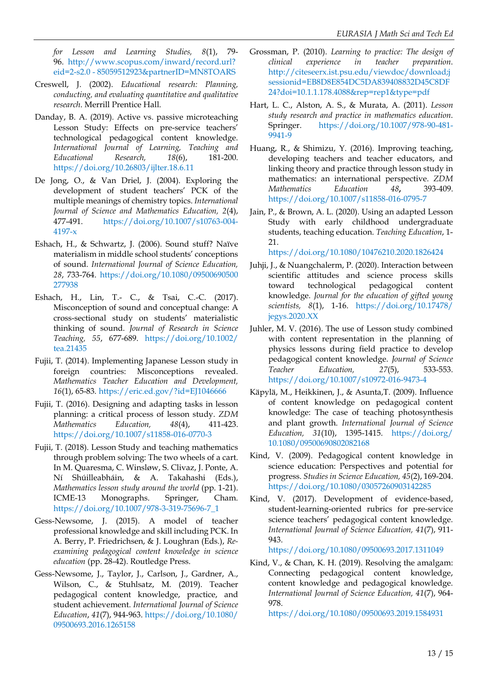*for Lesson and Learning Studies, 8*(1), 79- 96. [http://www.scopus.com/inward/record.url?](http://www.scopus.com/inward/record.url?eid=2-s2.0%C2%A0-%C2%A085059512923&partnerID=MN8TOARS) eid=2-s2.0 - [85059512923&partnerID=MN8TOARS](http://www.scopus.com/inward/record.url?eid=2-s2.0%C2%A0-%C2%A085059512923&partnerID=MN8TOARS)

- Creswell, J. (2002). *Educational research: Planning, conducting, and evaluating quantitative and qualitative research*. Merrill Prentice Hall.
- Danday, B. A. (2019). Active vs. passive microteaching Lesson Study: Effects on pre-service teachers' technological pedagogical content knowledge. *International Journal of Learning, Teaching and Educational Research, 18*(6), 181-200. <https://doi.org/10.26803/ijlter.18.6.11>
- De Jong, O., & Van Driel, J. (2004). Exploring the development of student teachers' PCK of the multiple meanings of chemistry topics. *International Journal of Science and Mathematics Education, 2*(4), 477-491. [https://doi.org/10.1007/s10763-004-](https://doi.org/10.1007/s10763-004-4197-x) [4197-x](https://doi.org/10.1007/s10763-004-4197-x)
- Eshach, H., & Schwartz, J. (2006). Sound stuff? Naïve materialism in middle school students' conceptions of sound. *International Journal of Science Education, 28*, 733-764. [https://doi.org/10.1080/09500690500](https://doi.org/10.1080/09500690500277938) [277938](https://doi.org/10.1080/09500690500277938)
- Eshach, H., Lin, T.- C., & Tsai, C.-C. (2017). Misconception of sound and conceptual change: A cross-sectional study on students' materialistic thinking of sound. *Journal of Research in Science Teaching, 55*, 677-689. [https://doi.org/10.1002/](https://doi.org/10.1002/tea.21435) [tea.21435](https://doi.org/10.1002/tea.21435)
- Fujii, T. (2014). Implementing Japanese Lesson study in foreign countries: Misconceptions revealed. *Mathematics Teacher Education and Development, 16*(1), 65-83. <https://eric.ed.gov/?id=EJ1046666>
- Fujii, T. (2016). Designing and adapting tasks in lesson planning: a critical process of lesson study. *ZDM Mathematics Education, 48*(4), 411-423. <https://doi.org/10.1007/s11858-016-0770-3>
- Fujii, T. (2018). Lesson Study and teaching mathematics through problem solving: The two wheels of a cart. In M. Quaresma, C. Winsløw, S. Clivaz, J. Ponte, A. Ní Shúilleabháin, & A. Takahashi (Eds.), *Mathematics lesson study around the world* (pp. 1-21). ICME-13 Monographs. Springer, Cham. [https://doi.org/10.1007/978-3-319-75696-7\\_1](https://doi.org/10.1007/978-3-319-75696-7_1)
- Gess-Newsome, J. (2015). A model of teacher professional knowledge and skill including PCK. In A. Berry, P. Friedrichsen, & J. Loughran (Eds.), *Reexamining pedagogical content knowledge in science education* (pp. 28-42). Routledge Press.
- Gess-Newsome, J., Taylor, J., Carlson, J., Gardner, A., Wilson, C., & Stuhlsatz, M. (2019). Teacher pedagogical content knowledge, practice, and student achievement. *International Journal of Science Education*, *41*(7), 944-963. [https://doi.org/10.1080/](https://doi.org/10.1080/09500693.2016.1265158) [09500693.2016.1265158](https://doi.org/10.1080/09500693.2016.1265158)
- Grossman, P. (2010). *Learning to practice: The design of clinical experience in teacher preparation*. [http://citeseerx.ist.psu.edu/viewdoc/download;j](http://citeseerx.ist.psu.edu/viewdoc/download;jsessionid=EB8D8E854DC5DA839408832D45C8DF24?doi=10.1.1.178.4088&rep=rep1&type=pdf) [sessionid=EB8D8E854DC5DA839408832D45C8DF](http://citeseerx.ist.psu.edu/viewdoc/download;jsessionid=EB8D8E854DC5DA839408832D45C8DF24?doi=10.1.1.178.4088&rep=rep1&type=pdf) [24?doi=10.1.1.178.4088&rep=rep1&type=pdf](http://citeseerx.ist.psu.edu/viewdoc/download;jsessionid=EB8D8E854DC5DA839408832D45C8DF24?doi=10.1.1.178.4088&rep=rep1&type=pdf)
- Hart, L. C., Alston, A. S., & Murata, A. (2011). *Lesson study research and practice in mathematics education*. Springer. [https://doi.org/10.1007/978-90-481-](https://doi.org/10.1007/978-90-481-9941-9) [9941-9](https://doi.org/10.1007/978-90-481-9941-9)
- Huang, R., & Shimizu, Y. (2016). Improving teaching, developing teachers and teacher educators, and linking theory and practice through lesson study in mathematics: an international perspective. *ZDM Mathematics Education 48***,** 393-409. <https://doi.org/10.1007/s11858-016-0795-7>
- Jain, P., & Brown, A. L. (2020). Using an adapted Lesson Study with early childhood undergraduate students, teaching education. *Teaching Education*, 1- 21.

<https://doi.org/10.1080/10476210.2020.1826424>

- Juhji, J., & Nuangchalerm, P. (2020). Interaction between scientific attitudes and science process skills toward technological pedagogical content knowledge. *Journal for the education of gifted young scientists, 8*(1), 1-16. [https://doi.org/10.17478/](https://doi.org/10.17478/jegys.2020.XX) [jegys.2020.XX](https://doi.org/10.17478/jegys.2020.XX)
- Juhler, M. V. (2016). The use of Lesson study combined with content representation in the planning of physics lessons during field practice to develop pedagogical content knowledge. *Journal of Science Teacher Education, 27*(5), 533-553. <https://doi.org/10.1007/s10972-016-9473-4>
- Käpylä, M., Heikkinen, J., & Asunta,T. (2009). Influence of content knowledge on pedagogical content knowledge: The case of teaching photosynthesis and plant growth. *International Journal of Science Education, 31*(10), 1395-1415. [https://doi.org/](https://doi.org/10.1080/09500690802082168) [10.1080/09500690802082168](https://doi.org/10.1080/09500690802082168)
- Kind, V. (2009). Pedagogical content knowledge in science education: Perspectives and potential for progress. *Studies in Science Education, 45*(2), 169-204. <https://doi.org/10.1080/03057260903142285>
- Kind, V. (2017). Development of evidence-based, student-learning-oriented rubrics for pre-service science teachers' pedagogical content knowledge. *International Journal of Science Education, 41*(7), 911- 943.

<https://doi.org/10.1080/09500693.2017.1311049>

Kind, V., & Chan, K. H. (2019). Resolving the amalgam: Connecting pedagogical content knowledge, content knowledge and pedagogical knowledge. *International Journal of Science Education, 41*(7), 964- 978.

<https://doi.org/10.1080/09500693.2019.1584931>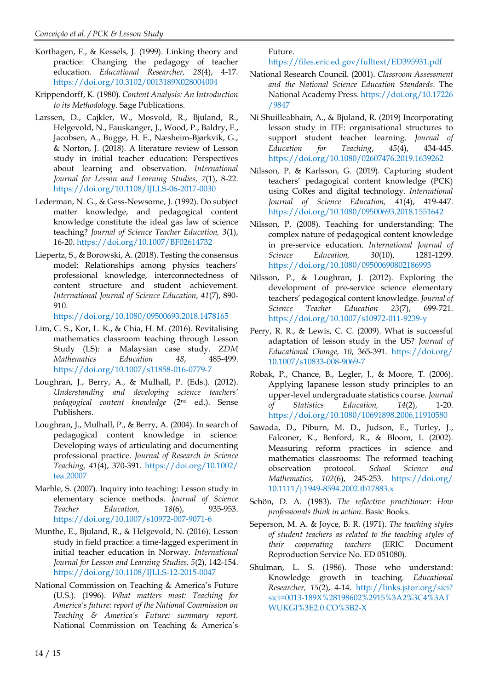- Korthagen, F., & Kessels, J. (1999). Linking theory and practice: Changing the pedagogy of teacher education. *Educational Researcher, 28*(4), 4-17. <https://doi.org/10.3102/0013189X028004004>
- Krippendorff, K. (1980). *Content Analysis: An Introduction to its Methodology*. Sage Publications.
- Larssen, D., Cajkler, W., Mosvold, R., Bjuland, R., Helgevold, N., Fauskanger, J., Wood, P., Baldry, F., Jacobsen, A., Bugge, H. E., Næsheim-Bjørkvik, G., & Norton, J. (2018). A literature review of Lesson study in initial teacher education: Perspectives about learning and observation. *International Journal for Lesson and Learning Studies, 7*(1), 8-22. <https://doi.org/10.1108/IJLLS-06-2017-0030>
- Lederman, N. G., & Gess-Newsome, J. (1992). Do subject matter knowledge, and pedagogical content knowledge constitute the ideal gas law of science teaching? *Journal of Science Teacher Education, 3*(1), 16-20. <https://doi.org/10.1007/BF02614732>
- Liepertz, S., & Borowski, A. (2018). Testing the consensus model: Relationships among physics teachers' professional knowledge, interconnectedness of content structure and student achievement. *International Journal of Science Education, 41*(7), 890- 910.

<https://doi.org/10.1080/09500693.2018.1478165>

- Lim, C. S., Kor, L. K., & Chia, H. M. (2016). Revitalising mathematics classroom teaching through Lesson Study (LS): a Malaysian case study. *ZDM Mathematics Education 48*, 485-499. <https://doi.org/10.1007/s11858-016-0779-7>
- Loughran, J., Berry, A., & Mulhall, P. (Eds.). (2012). *Understanding and developing science teachers' pedagogical content knowledge* (2nd ed.). Sense Publishers.
- Loughran, J., Mulhall, P., & Berry, A. (2004). In search of pedagogical content knowledge in science: Developing ways of articulating and documenting professional practice. *Journal of Research in Science Teaching, 41*(4), 370-391. [https://doi.org/10.1002/](https://doi.org/10.1002/tea.20007) [tea.20007](https://doi.org/10.1002/tea.20007)
- Marble, S. (2007). Inquiry into teaching: Lesson study in elementary science methods. *Journal of Science Teacher Education, 18*(6), 935-953. <https://doi.org/10.1007/s10972-007-9071-6>
- Munthe, E., Bjuland, R., & Helgevold, N. (2016). Lesson study in field practice: a time-lagged experiment in initial teacher education in Norway. *International Journal for Lesson and Learning Studies, 5*(2), 142-154. <https://doi.org/10.1108/IJLLS-12-2015-0047>
- National Commission on Teaching & America's Future (U.S.). (1996). *What matters most: Teaching for America's future: report of the National Commission on Teaching & America's Future: summary report*. National Commission on Teaching & America's

Future.

<https://files.eric.ed.gov/fulltext/ED395931.pdf>

- National Research Council. (2001). *Classroom Assessment and the National Science Education Standards*. The National Academy Press. [https://doi.org/10.17226](https://doi.org/10.17226/9847) [/9847](https://doi.org/10.17226/9847)
- Ni Shuilleabhain, A., & Bjuland, R. (2019) Incorporating lesson study in ITE: organisational structures to support student teacher learning. *Journal of Education for Teaching*, *45*(4), 434-445. <https://doi.org/10.1080/02607476.2019.1639262>
- Nilsson, P. & Karlsson, G. (2019). Capturing student teachers' pedagogical content knowledge (PCK) using CoRes and digital technology. *International Journal of Science Education, 41*(4), 419-447. <https://doi.org/10.1080/09500693.2018.1551642>
- Nilsson, P. (2008). Teaching for understanding: The complex nature of pedagogical content knowledge in pre-service education. *International Journal of Science Education, 30*(10), 1281-1299. <https://doi.org/10.1080/09500690802186993>
- Nilsson, P., & Loughran, J. (2012). Exploring the development of pre-service science elementary teachers' pedagogical content knowledge. *Journal of Science Teacher Education 23*(7), 699-721. <https://doi.org/10.1007/s10972-011-9239-y>
- Perry, R. R., & Lewis, C. C. (2009). What is successful adaptation of lesson study in the US? *Journal of Educational Change, 10*, 365-391. [https://doi.org/](https://doi.org/10.1007/s10833-008-9069-7) [10.1007/s10833-008-9069-7](https://doi.org/10.1007/s10833-008-9069-7)
- Robak, P., Chance, B., Legler, J., & Moore, T. (2006). Applying Japanese lesson study principles to an upper-level undergraduate statistics course. *Journal of Statistics Education, 14*(2), 1-20. <https://doi.org/10.1080/10691898.2006.11910580>
- Sawada, D., Piburn, M. D., Judson, E., Turley, J., Falconer, K., Benford, R., & Bloom, I. (2002). Measuring reform practices in science and mathematics classrooms: The reformed teaching observation protocol. *School Science and Mathematics, 102*(6), 245-253. [https://doi.org/](https://doi.org/10.1111/j.1949-8594.2002.tb17883.x) [10.1111/j.1949-8594.2002.tb17883.x](https://doi.org/10.1111/j.1949-8594.2002.tb17883.x)
- Schön, D. A. (1983). *The reflective practitioner: How professionals think in action*. Basic Books.
- Seperson, M. A. & Joyce, B. R. (1971). *The teaching styles of student teachers as related to the teaching styles of their cooperating teachers* (ERIC Document Reproduction Service No. ED 051080).
- Shulman, L. S. (1986). Those who understand: Knowledge growth in teaching. *Educational Researcher, 15*(2), 4-14. [http://links.jstor.org/sici?](http://links.jstor.org/sici?sici=0013-189X%28198602%2915%3A2%3C4%3ATWUKGI%3E2.0.CO%3B2-X) [sici=0013-189X%28198602%2915%3A2%3C4%3AT](http://links.jstor.org/sici?sici=0013-189X%28198602%2915%3A2%3C4%3ATWUKGI%3E2.0.CO%3B2-X) [WUKGI%3E2.0.CO%3B2-X](http://links.jstor.org/sici?sici=0013-189X%28198602%2915%3A2%3C4%3ATWUKGI%3E2.0.CO%3B2-X)